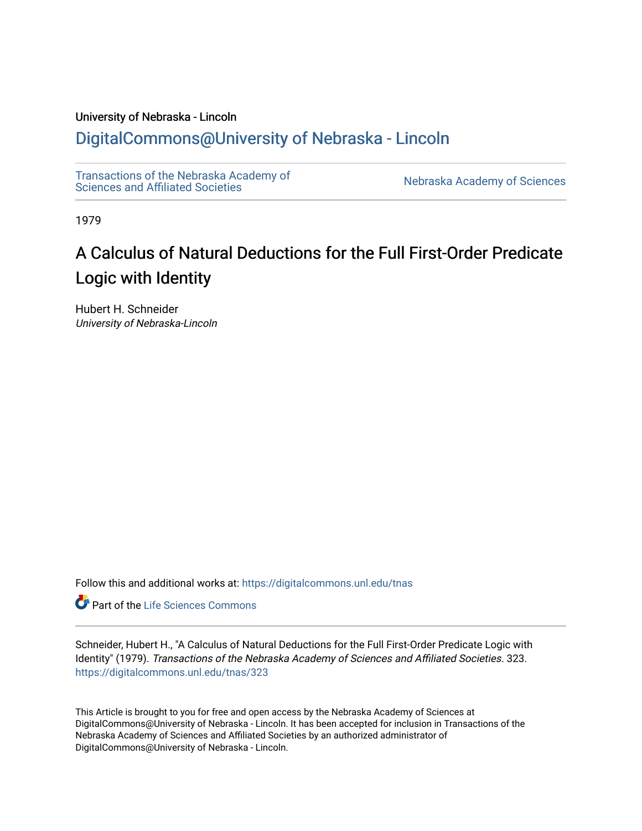# University of Nebraska - Lincoln

# [DigitalCommons@University of Nebraska - Lincoln](https://digitalcommons.unl.edu/)

[Transactions of the Nebraska Academy of](https://digitalcommons.unl.edu/tnas)  Transactions of the Nebraska Academy of Sciences<br>Sciences and Affiliated Societies

1979

# A Calculus of Natural Deductions for the Full First-Order Predicate Logic with Identity

Hubert H. Schneider University of Nebraska-Lincoln

Follow this and additional works at: [https://digitalcommons.unl.edu/tnas](https://digitalcommons.unl.edu/tnas?utm_source=digitalcommons.unl.edu%2Ftnas%2F323&utm_medium=PDF&utm_campaign=PDFCoverPages) 

**Part of the Life Sciences Commons** 

Schneider, Hubert H., "A Calculus of Natural Deductions for the Full First-Order Predicate Logic with Identity" (1979). Transactions of the Nebraska Academy of Sciences and Affiliated Societies. 323. [https://digitalcommons.unl.edu/tnas/323](https://digitalcommons.unl.edu/tnas/323?utm_source=digitalcommons.unl.edu%2Ftnas%2F323&utm_medium=PDF&utm_campaign=PDFCoverPages) 

This Article is brought to you for free and open access by the Nebraska Academy of Sciences at DigitalCommons@University of Nebraska - Lincoln. It has been accepted for inclusion in Transactions of the Nebraska Academy of Sciences and Affiliated Societies by an authorized administrator of DigitalCommons@University of Nebraska - Lincoln.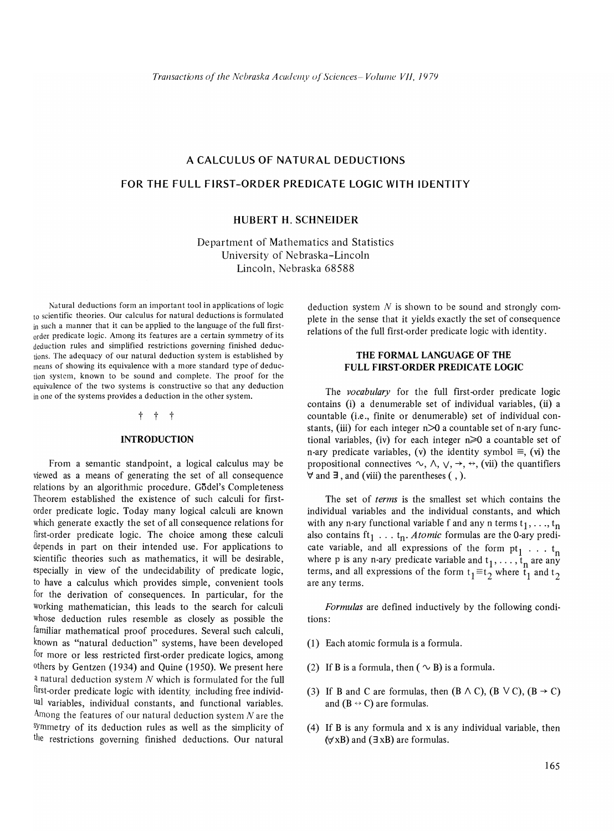# A CALCULUS OF NATURAL DEDUCTIONS

# FOR THE FULL FIRST-ORDER PREDICATE LOGIC WITH IDENTITY

# HUBERT H. SCHNEIDER

Department of Mathematics and Statistics University of Nebraska-Lincoln Lincoln, Nebraska 68588

Natural deductions form an important tool in applications of logic to scientific theories. Our calculus for natural deductions is formulated in such a manner that it can be applied to the language of the full firstorder predicate logic. Among its features are a certain symmetry of its deduction rules and simplified restrictions governing finished deductions. The adequacy of our natural deduction system is established by means of showing its equivalence with a more standard type of deduction system, known to be sound and complete. The proof for the equivalence of the two systems is constructive so that any deduction in one of the systems provides a deduction in the other system.

#### $+$   $+$

#### INTRODUCTION

From a semantic standpoint, a logical calculus may be viewed as a means of generating the set of all consequence relations by an algorithmic procedure. Godel's Completeness Theorem established the existence of such calculi for firstorder predicate logic. Today many logical calculi are known which generate exactly the set of all consequence relations for first-order predicate logic. The choice among these calculi depends in part on their intended use. For applications to scientific theories such as mathematics, it will be desirable, especially in view of the undecidability of predicate logic, to have a calculus which provides simple, convenient tools for the derivation of consequences. In particular, for the working mathematician, this leads to the search for calculi Whose deduction rules resemble as closely as possible the familiar mathematical proof procedures. Several such calculi, known as "natural deduction" systems, have been developed for more or less restricted first-order predicate logics, among  $o$ <sup>thers</sup> by Gentzen (1934) and Quine (1950). We present here a natural deduction system N which is formulated for the full first-order predicate logic with identity including free individual variables, individual constants, and functional variables. Among the features of our natural deduction system  $N$  are the sYmmetry of its deduction rules as well as the simplicity of the restrictions governing finished deductions. Our natural deduction system  $N$  is shown to be sound and strongly complete in the sense that it yields exactly the set of consequence relations of the full first-order predicate logic with identity.

# THE FORMAL LANGUAGE OF THE FULL FIRST-ORDER PREDICATE LOGIC

The *vocabulary* for the full first-order predicate logic contains (i) a denumerable set of individual variables, (ii) a countable (i.e., finite or denumerable) set of individual constants, (iii) for each integer  $n \geq 0$  a countable set of n-ary functional variables, (iv) for each integer  $n \geq 0$  a countable set of n-ary predicate variables, (v) the identity symbol  $\equiv$ , (vi) the propositional connectives  $\sim$ ,  $\land$ ,  $\lor$ ,  $\rightarrow$ ,  $\leftrightarrow$ , (vii) the quantifiers  $\forall$  and  $\exists$ , and (viii) the parentheses (, ).

The set of *terms* is the smallest set which contains the individual variables and the individual constants, and which with any n-ary functional variable f and any n terms  $t_1, \ldots, t_n$ also contains ft<sub>1</sub> ... t<sub>n</sub>. *Atomic* formulas are the 0-ary prediilso contains  $\pi_1 \ldots \pi_n$ . *Atomic* formulas are the 0-ary predi-<br>cate variable, and all expressions of the form  $pt_1 \ldots t_n$ where p is any n-ary predicate variable and  $t_1, \ldots, t_n$  are any terms, and all expressions of the form  $t_1 \equiv t_2$  where  $t_1$  and  $t_2$ are any terms.

*Formulas* are defined inductively by the following conditions:

- (1) Each atomic formula is a formula.
- (2) If B is a formula, then (  $\sim$  B) is a formula.
- (3) If B and C are formulas, then  $(B \wedge C)$ ,  $(B \vee C)$ ,  $(B \rightarrow C)$ and  $(B \leftrightarrow C)$  are formulas.
- (4) If B is any formula and x is any individual variable, then  $(\forall xB)$  and  $(\exists xB)$  are formulas.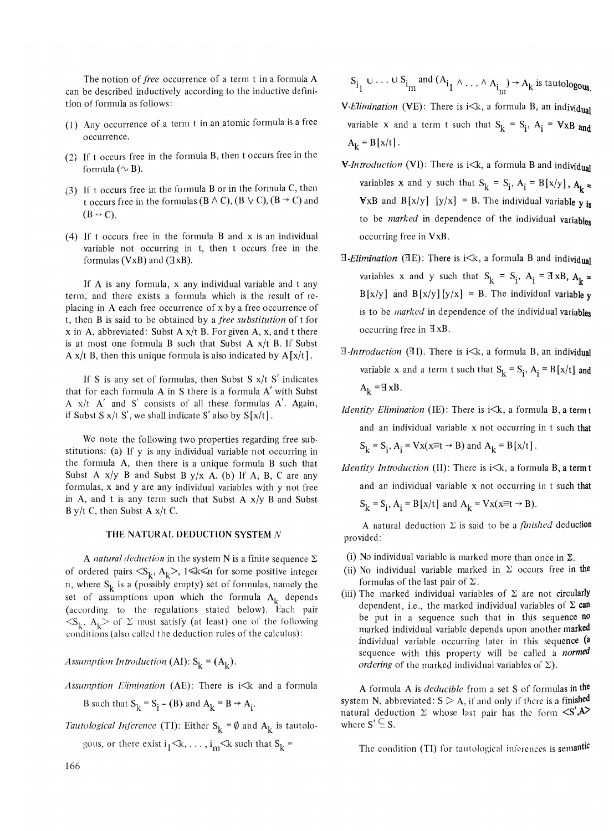The notion of *free* occurrence of a term t in a formula A can be described inductively according to the inductive definition of formula as follows:

- (1) Any occurrence of a term t in an atomic formula is a free occurrence.
- (2) If t occurs free in the formula B, then t occurs free in the formula ( $\sim$  B).
- (3) If t occurs free in the formula B or in the formula C, then t occurs free in the formulas ( $B \wedge C$ ), ( $B \vee C$ ), ( $B \rightarrow C$ ) and  $(B \leftrightarrow C)$ .
- (4) If t occurs free in the formula B and x is an individual variable not occurring in t, then t occurs free in the formulas (VxB) and  $(\exists xB)$ .

If A is any formula, x any individual variable and t any term, and there exists a formula which is the result of replacing in A each free occurrence of x by a free occurrence of t, then B is said to be obtained by a *free substitution* of t for  $x$  in A, abbreviated: Subst A  $x/t$  B. For given A, x, and t there is at most one formula B such that Subst A  $x/t$  B. If Subst A  $x/t$  B, then this unique formula is also indicated by  $A[x/t]$ .

If S is any set of formulas, then Subst S  $x/t$  S' indicates that for each formula A in S there is a formula A' with Subst A  $x/t$  A' and S' consists of all these formulas A'. Again, if Subst S  $x/t$  S', we shall indicate S' also by  $S[x/t]$ .

We note the following two properties regarding free substitutions: (a) If y is any individual variable not occurring in the formula A, then there is a unique formula B such that Subst A  $x/y$  B and Subst B  $y/x$  A. (b) If A, B, C are any formulas, x and y are any individual variables with y not free in A, and t is any term such that Subst A  $x/y$  B and Subst B y/t C, then Subst A  $x/t$  C.

## THE NATURAL DEDUCTION SYSTEM N

A *natural deduction* in the system N is a finite sequence  $\Sigma$ of ordered pairs  $\langle S_k, A_k \rangle$ ,  $1 \le k \le n$  for some positive integer n, where  $S_k$  is a (possibly empty) set of formulas, namely the set of assumptions upon which the formula  $A_k$  depends (according to the regulations stated below). Each pair  $\langle S_k, A_k \rangle$  of  $\Sigma$  must satisfy (at least) one of the following conditions (also called tbe deduction rules of the calculus):

*Assumption Introduction* (AI):  $S_k = (A_k)$ .

Assumption Elimination (AE): There is i<k and a formula

B such that  $S_k = S_i - (B)$  and  $A_k = B \rightarrow A_i$ .

*Tautological Inference* (TI): Either  $S_k = \emptyset$  and  $A_k$  is tautolo-

gous, or there exist  $i_1 \le k, \ldots, i_m \le k$  such that  $S_k =$ 

 $S_{i_1} \cup \cdots \cup S_{i_m}$  and  $(A_{i_1} \wedge \ldots \wedge A_{i_m}) \rightarrow A_k$  is tautologous.

**V**-Elimination (VE): There is i<k, a formula B, an individual variable x and a term t such that  $S_k = S_i$ ,  $A_i = VxB$  and  $A_k = B[x/t].$ 

- *V-Introduction* (VI): There is i<k, a formula B and individual variables x and y such that  $S_k = S_i$ ,  $A_i = B[x/y]$ ,  $A_k =$ **V**xB and B[x/y] [y/x] = B. The individual variable  $\bf{v}$  is to be *marked* in dependence of the individual variables occurring free in VxB.
- **3-Elimination** (**3E**): There is i<k, a formula B and individual variables x and y such that  $S_k = S_i$ ,  $A_i = \mathbb{I} \times B$ ,  $A_k = \mathbb{I} \times B$  $B[x/y]$  and  $B[x/y] [y/x] = B$ . The individual variable y is to be *marked* in dependence of the individual variables occurring free in  $\exists$  xB.
- *a-Introduction* (31). There is i<k, a formula B, an individual variable x and a term t such that  $S_k = S_i$ ,  $A_i = B[x/t]$  and  $A_k = H \times B$ .
- *Identity Elimination* (IE): There is  $i < k$ , a formula B, a term t and an individual variable x not occurring in t such that

 $S_k = S_i$ ,  $A_i = Vx(x \equiv t \rightarrow B)$  and  $A_k = B[x/t]$ .

*Identity Introduction* (II): There is  $i \le k$ , a formula B, a term t and an individual variable x not occurring in t such that

 $S_k = S_i$ ,  $A_i = B[x/t]$  and  $A_k = Vx(x \equiv t \rightarrow B)$ .

A natural deduction  $\Sigma$  is said to be a *finished* deduction provided:

- (i) No individual variable is marked more than once in  $\Sigma$ .
- (ii) No individual variable marked in  $\Sigma$  occurs free in the formulas of the last pair of  $\Sigma$ .
- (iii) The marked individual variables of  $\Sigma$  are not circularly dependent, i.e., the marked individual variables of  $\Sigma$  can be put in a sequence such that in this sequence no marked individual variable depends upon another marked individual variable occurring later in this sequence (a sequence with this property will be called a *normed ordering* of the marked individual variables of  $\Sigma$ ).

A formula A is *deducible* from a set S of formulas in the system N, abbreviated:  $S \triangleright A$ , if and only if there is a finished natural deduction  $\Sigma$  whose last pair has the form  $\langle S'$ , A where  $S' \subseteq S$ .

The condition (TI) for tautological inferences is semantic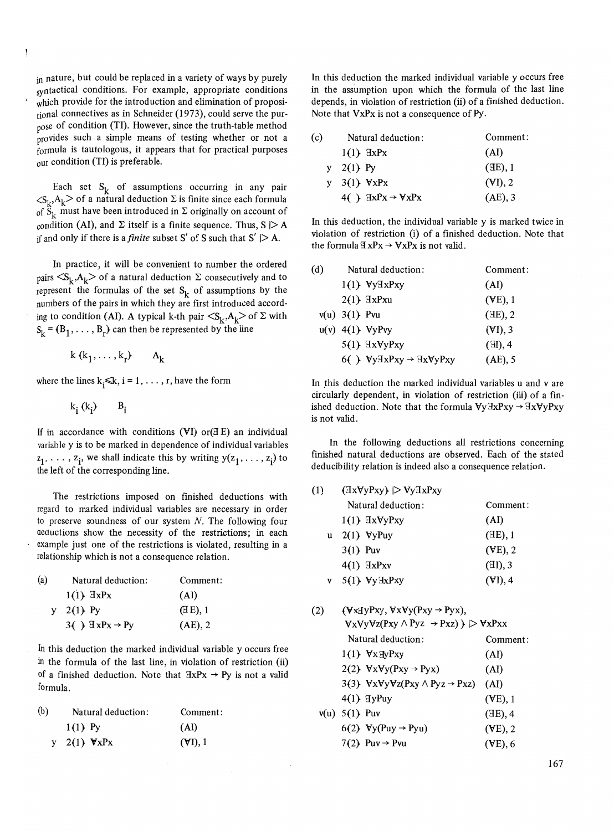in nature, but could be replaced in a variety of ways by purely syntactical conditions. For example, appropriate conditions which provide for the introduction and elimination of propositional connectives as in Schneider (1973), could serve the purpose of condition (TI). However, since the truth-table method provides such a simple means of testing whether or not a formula is tautologous, it appears that for practical purposes our condition (TI) is preferable.

Each set  $S_{1}$ , of assumptions occurring in any pair  $\langle S_k, A_k \rangle$  of a natural deduction  $\Sigma$  is finite since each formula of  $\hat{S}_k$  must have been introduced in  $\Sigma$  originally on account of condition (AI), and  $\Sigma$  itself is a finite sequence. Thus,  $S \triangleright A$ if and only if there is a *finite* subset S' of S such that  $S' \geq A$ .

In practice, it will be convenient to number the ordered pairs  $\langle S_k, A_k \rangle$  of a natural deduction  $\Sigma$  consecutively and to represent the formulas of the set  $S_k$  of assumptions by the numbers of the pairs in which they are first introduced according to condition (AI). A typical k-th pair  $\langle S_k, A_k \rangle$  of  $\Sigma$  with  $S_k = (B_1, \ldots, B_r)$  can then be represented by the line

 $k(k_1, ..., k_r)$   $A_k$ 

where the lines  $k_i \le k$ ,  $i = 1, \ldots, r$ , have the form

 $k_i(k_i)$   $B_i$ 

If in accordance with conditions  $(VI)$  or  $(E)$  an individual variable y is to be marked in dependence of individual variables  $z_1, \ldots, z_i$ , we shall indicate this by writing  $y(z_1, \ldots, z_i)$  to the left of the corresponding line.

The restrictions imposed on finished deductions with regard to marked individual variables are necessary in order to preserve soundness of our system  $N$ . The following four aeductions show the necessity of the restrictions; in each example just one of the restrictions is violated, resulting in a relationship which is not a consequence relation.

| (a) | Natural deduction:                   | Comment:   |
|-----|--------------------------------------|------------|
|     | $1(1)$ $\exists x P x$               | (AI)       |
|     | $2(1)$ Py                            | (EE), 1    |
|     | $3()$ $\exists$ xPx $\rightarrow$ Py | $(AE)$ , 2 |

In this deduction the marked individual variable y occurs free in the formula of the last line, in violation of restriction (ii) of a finished deduction. Note that  $HxPx \rightarrow Py$  is not a valid formula.

| (b) | Natural deduction:     | Comment: |
|-----|------------------------|----------|
|     | $1(1)$ Py              | (AI)     |
|     | y 2(1) $\forall x P x$ | (VI), 1  |

In this deduction the marked individual variable y occurs free in the assumption upon which the formula of the last line depends, in violation of restriction (ii) of a finished deduction. Note that VxPx is not a consequence of Py.

| (c) | Natural deduction:                             | Comment:   |
|-----|------------------------------------------------|------------|
|     | $1(1)$ $\exists x P x$                         | (AI)       |
| V   | $2(1)$ Py                                      | (E), 1     |
| V   | $3(1)$ $\forall x P x$                         | $(VI)$ , 2 |
|     | 4( ) $\exists x P x \rightarrow \forall x P x$ | $(AE)$ , 3 |

In this deduction, the individual variable y is marked twice in violation of restriction (i) of a finished deduction. Note that the formula  $\mathbb{E} \times \mathbb{P} \times \mathbb{P} \times \mathbb{P} \times \mathbb{P} \times \mathbb{P} \times \mathbb{P} \times \mathbb{P} \times \mathbb{P} \times \mathbb{P} \times \mathbb{P} \times \mathbb{P} \times \mathbb{P} \times \mathbb{P} \times \mathbb{P} \times \mathbb{P} \times \mathbb{P} \times \mathbb{P} \times \mathbb{P} \times \mathbb{P} \times \mathbb{P} \times \mathbb{P} \times \mathbb{P} \times \mathbb{P} \times \mathbb{P} \times \mathbb{P} \times$ 

| (d) | Natural deduction:                                                 | Comment:   |
|-----|--------------------------------------------------------------------|------------|
|     | $1(1)$ $\forall$ y $\exists$ xPxy                                  | (AI)       |
|     | $2(1)$ $\exists x P x u$                                           | $(VE)$ , 1 |
|     | $v(u)$ 3(1) Pvu                                                    | (E), 2     |
|     | $u(v)$ 4(1) $VyPvy$                                                | (VI), 3    |
|     | $5(1)$ $\exists x \forall y Pxy$                                   | $(E)$ , 4  |
|     | 6( ) $\forall y \exists x Pxy \rightarrow \exists x \forall y Pxy$ | $(AE)$ , 5 |

In this deduction the marked individual variables u and v are circularly dependent, in violation of restriction (iii) of a finished deduction. Note that the formula  $\forall y \exists x Pxy \rightarrow \exists x \forall y Pxy$ is not valid.

In the following deductions all restrictions concerning finished natural deductions are observed. Each of the stated deducibility relation is indeed also a consequence relation.

| (1) | $(\exists x \forall y Pxy) \geq \forall y \exists x Pxy$ |            |
|-----|----------------------------------------------------------|------------|
|     | Natural deduction:                                       | Comment:   |
|     | $1(1)$ $\exists x \forall y Pxy$                         | (AI)       |
| u   | $2(1)$ $\forall$ yPuy                                    | (E), 1     |
|     | $3(1)$ Puv                                               | $(VE)$ , 2 |
|     | $4(1)$ $\exists x P x v$                                 | (EI), 3    |
| V   | $5(1)$ $\forall$ y $\exists$ xPxy                        | $(VI)$ , 4 |
|     |                                                          |            |

| (2) | $(\forall x \exists y Pxy, \forall x \forall y (Pxy \rightarrow Pyx),$                           |                   |  |
|-----|--------------------------------------------------------------------------------------------------|-------------------|--|
|     | $\forall x \forall y \forall z (Pxy \land Pyz \rightarrow Pxz)$ ) $\triangleright \forall x Pxx$ |                   |  |
|     | Natural deduction:                                                                               | Comment:          |  |
|     | $1(1)$ $\forall x \exists y Pxy$                                                                 | (AI)              |  |
|     | 2(2) $\forall x \forall y (Pxy \rightarrow Pyx)$                                                 | (AI)              |  |
|     | 3(3) $\forall x \forall y \forall z (Pxy \land Pyz \rightarrow Pxz)$                             | (AI)              |  |
|     | $4(1)$ Hypers                                                                                    | $(VE)$ , 1        |  |
|     | $v(u)$ 5(1) Puv                                                                                  | $(E)$ , 4         |  |
|     | 6(2) $\forall y (Puy \rightarrow Pyu)$                                                           | $(\forall E)$ , 2 |  |
|     | 7(2) Puv $\rightarrow$ Pvu                                                                       | $(VE)$ , 6        |  |
|     |                                                                                                  |                   |  |

167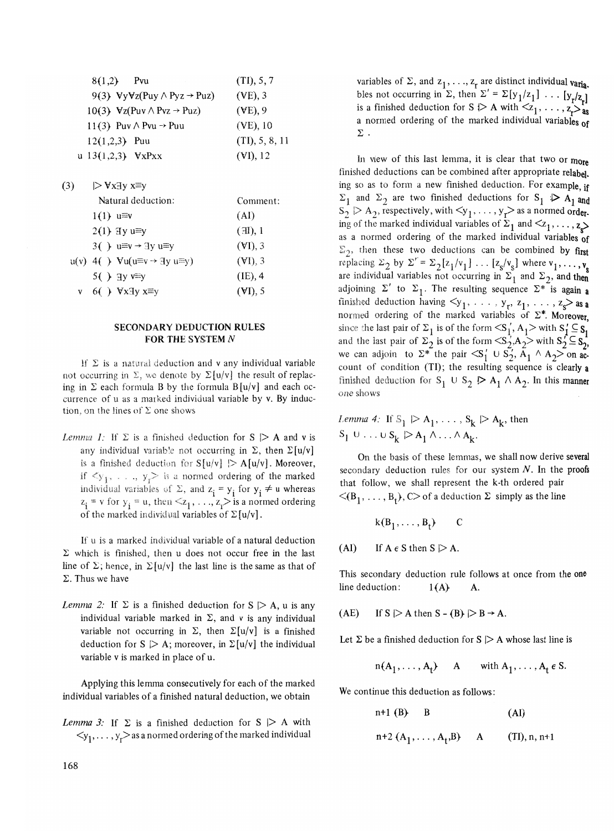| 8(1,2)<br>Pvu                               | (TI), 5, 7       |
|---------------------------------------------|------------------|
| 9(3) $VyVz(Puy \wedge Pyz \rightarrow Puz)$ | $(VE)$ , 3       |
| 10(3) $Vz(Puv \wedge Pvz \rightarrow Puz)$  | $(\forall E), 9$ |
| 11(3) Puv $\land$ Pvu $\rightarrow$ Puu     | $(VE)$ , 10      |
| $12(1,2,3)$ Puu                             | (TI), 5, 8, 11   |
| u $13(1,2,3)$ $VxPxx$                       | (VI), 12         |

| (3) | $\triangleright$ VxHy x≡y                                       |            |
|-----|-----------------------------------------------------------------|------------|
|     | Natural deduction:                                              | Comment:   |
|     | $1(1) u \equiv v$                                               | (AI)       |
|     | $2(1)$ Hy u=y                                                   | (H), 1     |
|     | 3( ) $u \equiv v \rightarrow 3y$ $u \equiv y$                   | (VI), 3    |
|     | $u(v)$ 4( ) $Vu(u \equiv v \rightarrow \exists y \ u \equiv y)$ | (VI), 3    |
|     | $5()$ Hy v=y                                                    | $(IE)$ , 4 |
| V   | 6( ) $\forall$ x $\exists$ y x $\equiv$ y                       | $(VI)$ , 5 |

## SECONDARY DEDUCTION RULES FOR THE SYSTEM N

If  $\Sigma$  is a natural deduction and v any individual variable not occurring in  $\Sigma$ , we denote by  $\Sigma[u/v]$  the result of replacing in  $\Sigma$  each formula B by the formula B [u/v] and each occurrence of u as a marked individual variable by v. By induction, on the lines of  $\Sigma$  one shows

*Lemma 1:* If  $\Sigma$  is a finished deduction for  $S \triangleright A$  and v is any individual variable not occurring in  $\Sigma$ , then  $\Sigma[u/v]$ is a finished deduction for  $S[u/v] \geq A[u/v]$ . Moreover, if  $\langle y_1, \ldots, y_r \rangle$  is a normed ordering of the marked individual variables of  $\Sigma$ , and  $z_i = y_i$  for  $y_i \neq u$  whereas  $z_i = v$  for  $y_i = u$ , then  $\leq z_1, \ldots, z_n$  is a normed ordering of the marked individual variables of  $\Sigma[u/v]$ .

If u is a marked individual variable of a natural deduction  $\Sigma$  which is finished, then u does not occur free in the last line of  $\Sigma$ ; hence, in  $\Sigma[u/v]$  the last line is the same as that of  $\Sigma$ . Thus we have

*Lemma 2:* If  $\Sigma$  is a finished deduction for  $S \triangleright A$ , u is any individual variable marked in  $\Sigma$ , and v is any individual variable not occurring in  $\Sigma$ , then  $\Sigma[u/v]$  is a finished deduction for  $S \geq A$ ; moreover, in  $\Sigma[u/v]$  the individual variable v is marked in place of u,

Applying this lemma consecutively for each of the marked individual variables of a finished natural deduction, we obtain

*Lemma 3:* If  $\Sigma$  is a finished deduction for  $S \triangleright A$  with  $\langle y_1, \ldots, y_r \rangle$  as a normed ordering of the marked individual

variables of  $\Sigma$ , and  $z_1, \ldots, z_r$  are distinct individual varia. bles not occurring in  $\Sigma$ , then  $\Sigma' = \Sigma[y_1/z_1] \dots [y_r/z_r]$ is a finished deduction for S  $\triangleright$  A with  $\lt z_1, \ldots, z_r \gt z_s$ a normed ordering of the marked individual variables of  $\Sigma$  .

In view of this last lemma, it is clear that two or more finished deductions can be combined after appropriate relabel. ing so as to form a new finished deduction. For example, if  $\Sigma_1$  and  $\Sigma_2$  are two finished deductions for  $S_1 \nvert A_1$  and  $S_2 > A_2$ , respectively, with  $\langle y_1, \ldots, y_r \rangle$  as a normed order. ing of the marked individual variables of  $\Sigma_1$  and  $\langle z_1, \ldots, z_n \rangle$ as a normed ordering of the marked individual variables of  $\Sigma_2$ , then these two deductions can be combined by first replacing  $\Sigma_2$  by  $\Sigma' = \Sigma_2[z_1/v_1] \dots [z_s/v_s]$  where  $v_1, \dots, v_s$ are individual variables not occurring in  $\Sigma_1$  and  $\Sigma_2$ , and then adjoining  $\Sigma'$  to  $\Sigma_1$ . The resulting sequence  $\Sigma^*$  is again a finished deduction having  $\leq y_1, \ldots, y_r, z_1, \ldots, z_s$  as a normed ordering of the marked variables of  $\Sigma^*$ . Moreover, since the last pair of  $\Sigma_1$  is of the form  $\langle S_1, A_1 \rangle$  with  $S_1' \subseteq S_1$ . and the last pair of  $\Sigma_2^1$  is of the form  $\langle S_2^1, A_2 \rangle$  with  $S_2^1 \subseteq S_2^1$ , we can adjoin to  $\Sigma^*$  the pair  $\langle S_1' \cup S_2', A_1 \wedge A_2 \rangle$  on account of condition (Tl); the resulting sequence is clearly a finished deduction for  $S_1 \cup S_2 \triangleright A_1 \wedge A_2$ . In this manner one shows

*Lemma 4:* If  $S_1 \triangleright A_1, \ldots, S_k \triangleright A_k$ , then  $S_1 \cup \ldots \cup S_k \triangleright A_1 \wedge \ldots \wedge A_k$ .

On the basis of these lemmas, we shall now derive several secondary deduction rules for our system  $N$ . In the proofs that follow, we sha1l represent the k-th ordered pair  $\langle (B_1, \ldots, B_t), C \rangle$  of a deduction  $\Sigma$  simply as the line

$$
k(B_1,\ldots,B_t) \qquad C
$$

(AI) If  $A \in S$  then  $S \geq A$ .

This secondary deduction rule follows at once from the one line deduction:  $1(A)$  A.

(AE) If  $S \geq A$  then  $S - (B) \geq B \rightarrow A$ .

Let  $\Sigma$  be a finished deduction for  $S \triangleright A$  whose last line is

 $n(A_1, \ldots, A_t)$  A with  $A_1, \ldots, A_t \in S$ .

We continue this deduction as follows:

n+l (B) B (AI)

$$
n+2 (A_1,..., A_t,B)
$$
 A (TI), n, n+1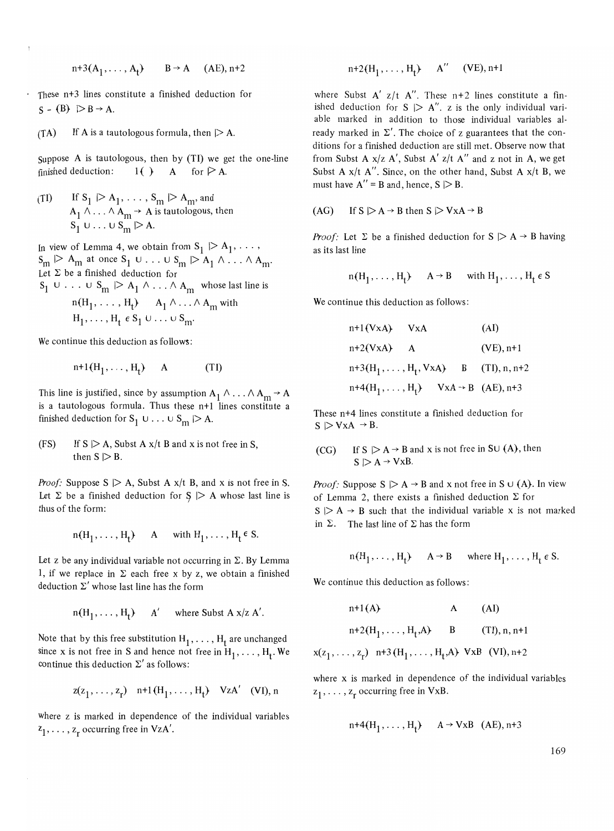$$
n+3(A_1, \ldots, A_t) \qquad B \to A \qquad (AE), n+2
$$

These  $n+3$  lines constitute a finished deduction for  $S - (B) \geq B \rightarrow A$ .

$$
(TA) \tIf A is a tautologous formula, then \t $| > A$ .
$$

Suppose A is tautologous, then by  $(TI)$  we get the one-line finished deduction:  $1()$  A for  $\triangleright$  A.

(TI) If 
$$
S_1 \rhd A_1, \ldots, S_m \rhd A_m
$$
, and  
\n $A_1 \wedge \ldots \wedge A_m \rightarrow A$  is tautologous, then  
\n $S_1 \cup \ldots \cup S_m \rhd A$ .

In view of Lemma 4, we obtain from  $S_1 \triangleright A_1, \ldots$ ,  $S_m \triangleright A_m$  at once  $S_1 \cup \ldots \cup S_m \triangleright A_1 \wedge \ldots \wedge A_m$ . Let  $\Sigma$  be a finished deduction for  $S_1 \cup \ldots \cup S_m \mid A_1 \wedge \ldots \wedge A_m$  whose last line is

$$
n(H_1, \ldots, H_t) \qquad A_1 \wedge \ldots \wedge A_m \text{ with}
$$
  
H<sub>1</sub>,..., H<sub>t</sub>  $\epsilon$  S<sub>1</sub>  $\cup \ldots \cup S_m$ .

We continue this deduction as follows:

$$
n+1(H_1, \ldots, H_t) \quad A \tag{T1}
$$

This line is justified, since by assumption  $A_1 \wedge ... \wedge A_m \rightarrow A$ is a tautologous formula. Thus these  $n+1$  lines constitute a finished deduction for  $S_1 \cup ... \cup S_m \geq A$ .

(FS) If  $S \geq A$ , Subst A  $x/t$  B and x is not free in S, then  $S \triangleright B$ .

*Proof:* Suppose  $S \geq A$ , Subst A  $x/t$  B, and x is not free in S. Let  $\Sigma$  be a finished deduction for  $S \triangleright A$  whose last line is thus of the form:

$$
n(H_1, ..., H_t)
$$
 A with  $H_1, ..., H_t \in S$ .

Let z be any individual variable not occurring in  $\Sigma$ . By Lemma 1, if we replace in  $\Sigma$  each free x by z, we obtain a finished deduction  $\Sigma'$  whose last line has the form

$$
n(H_1, ..., H_t)
$$
 A' where Subst A x/z A'.

Note that by this free substitution  $H_1, \ldots, H_t$  are unchanged since x is not free in S and hence not free in  $H_1, \ldots, H_t$ . We continue this deduction  $\Sigma'$  as follows:

$$
z(z_1, ..., z_r)
$$
 n+1(H<sub>1</sub>, ..., H<sub>t</sub>) VzA' (VI), n

where z is marked in dependence of the individual variables  $z_1, \ldots, z_r$  occurring free in VzA'.

$$
n+2(H_1,\ldots,H_t) \quad A'' \quad (VE), n+1
$$

where Subst  $A'$  *z/t A''*. These  $n+2$  lines constitute a finished deduction for  $S \geq A''$ . z is the only individual variable marked in addition to those individual variables already marked in  $\Sigma'$ . The choice of z guarantees that the conditions for a finished deduction are still met. Observe now that from Subst A *x/z* A', Subst A' *zit* A" and z not in A, we get Subst A *x/t* A". Since, on the other hand, Subst A *x/t* B, we must have  $A'' = B$  and, hence,  $S \geq B$ .

$$
(AG) \qquad \text{If } S \mid > A \rightarrow B \text{ then } S \mid > VxA \rightarrow B
$$

*Proof:* Let  $\Sigma$  be a finished deduction for  $S \triangleright A \rightarrow B$  having as its last line

$$
n(H_1, ..., H_t)
$$
  $A \rightarrow B$  with  $H_1, ..., H_t \in S$ 

We continue this deduction as follows:

n+l(VxA} VxA n+2(VxA} A (AI) (VE), n+l n+3(H <sup>I</sup> , ... ,Ht , VxA} B (II), n, n+2 n+4(H1, ... , Ht} VxA -+ B (AE), n+3

These n+4 lines constitute a finished deduction for  $S \triangleright \forall x A \rightarrow B$ .

(CG) If 
$$
S \triangleright A \rightarrow B
$$
 and x is not free in SU (A), then  
\n $S \triangleright A \rightarrow VxB$ .

*Proof:* Suppose  $S \triangleright A \rightarrow B$  and x not free in S  $\cup$  (A). In view of Lemma 2, there exists a finished deduction  $\Sigma$  for  $S \geq A \rightarrow B$  such that the individual variable x is not marked in  $\Sigma$ . The last line of  $\Sigma$  has the form

$$
n(H_1, ..., H_t)
$$
  $A \rightarrow B$  where  $H_1, ..., H_t \in S$ .

We continue this deduction as follows:

n+l(A} A (AI) n+2(HI , ... , Ht'A} B (II), n, n+l x(zI' ... ,zr) n+3 (HI' ... ,Ht'A) VxB (VI), n+2

where x is marked in dependence of the individual variables  $z_1, \ldots, z_r$  occurring free in VxB.

$$
n+4(H_1, \ldots, H_t) \qquad A \to VxB \quad (AE), n+3
$$

169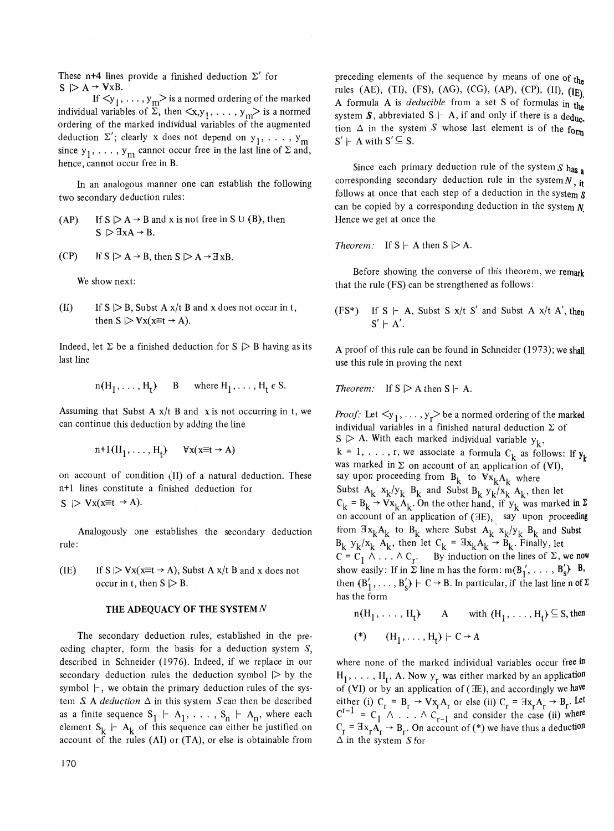These n<sup>+4</sup> lines provide a finished deduction  $\Sigma'$  for  $S \geq A \rightarrow \forall xB$ .

If  $\langle y_1, \ldots, y_m \rangle$  is a normed ordering of the marked individual variables of  $\Sigma$ , then  $\langle x, y_1, \ldots, y_m \rangle$  is a normed ordering of the marked individual variables of the augmented deduction  $\Sigma'$ ; clearly x does not depend on  $y_1, \ldots, y_m$ since  $y_1, \ldots, y_m$  cannot occur free in the last line of  $\Sigma$  and, hence, cannot occur free in B.

In an analogous manner one can establish the following two secondary deduction rules:

- (AP) If  $S \triangleright A \rightarrow B$  and x is not free in S  $\cup$  (B), then  $S \triangleright \exists x A \rightarrow B$ .
- (CP) If  $S \triangleright A \rightarrow B$ , then  $S \triangleright A \rightarrow \exists xB$ .

We show next:

(II) If  $S \geq B$ , Subst A  $x/t$  B and x does not occur in t, then  $S \triangleright \forall x (x \equiv t \rightarrow A)$ .

Indeed, let  $\Sigma$  be a finished deduction for  $S \triangleright B$  having as its last line

$$
n(H_1, ..., H_t)
$$
 B where  $H_1, ..., H_t \in S$ .

Assuming that Subst A  $x/t$  B and x is not occurring in t, we can continue this deduction by adding the line

$$
n+1(H_1, \ldots, H_t) \qquad \forall x(x \equiv t \to A)
$$

on account of condition (II) of a natural deduction. These n+1 lines constitute a finished deduction for  $S \geq Vx(x \equiv t \rightarrow A).$ 

Analogously one establishes the secondary deduction rule:

(IE) If  $S \triangleright Vx(x\equiv t \rightarrow A)$ , Subst A  $x/t$  B and x does not occur in t, then  $S \geq B$ .

#### **THE** ADEQUACY **OF THE** SYSTEM N

The secondary deduction rules, established in the preceding chapter, form the basis for a deduction system  $S$ , described in Schneider (1976). Indeed, if we replace in our secondary deduction rules the deduction symbol  $\triangleright$  by the symbol  $\vdash$ , we obtain the primary deduction rules of the system  $S$  A *deduction*  $\Delta$  in this system  $S$  can then be described as a finite sequence  $S_1$  |-  $A_1$ , ...,  $S_n$  |-  $A_n$ , where each element  $S_k$  |-  $A_k$  of this sequence can either be justified on account of the rules (AI) or  $(TA)$ , or else is obtainable from

preceding elements of the sequence by means of one of the rules (AE), (TI), (FS), (AG), (CG), (AP), (CP), (II), (IE). A formula A is *deducible* from a set S of formulas in the system S, abbreviated S  $|-$  A, if and only if there is a deduc. tion  $\Delta$  in the system S whose last element is of the form  $S' \vdash A$  with  $S' \subseteq S$ .

Since each primary deduction rule of the system  $S$  has a corresponding secondary deduction rule in the *systemN,* it follows at once that each step of a deduction in the system S can be copied by a corresponding deduction in the system *N.*  Hence we get at once the

*Theorem:* If  $S \vdash A$  then  $S \triangleright A$ .

Before showing the converse of this theorem, we remark that the rule (FS) can be strengthened as follows:

(FS<sup>\*</sup>) If S  $\vdash$  A, Subst S *x/t* S' and Subst A *x/t* A', then  $S' \vdash A'$ .

A proof of this rule can be found in Schneider (1973); we shall use this rule in proving the next

*Theorem:* If  $S \geq A$  then  $S \vdash A$ .

*Proof:* Let  $\langle y_1, \ldots, y_r \rangle$  be a normed ordering of the marked individual variables in a finished natural deduction  $\Sigma$  of  $S \geq A$ . With each marked individual variable  $y_k$ ,  $k = 1, \ldots, r$ , we associate a formula  $C_k$  as follows: If  $y_k$ was marked in  $\Sigma$  on account of an application of (VI), say upon proceeding from  $B_k$  to  $Vx_kA_k$  where Subst  $A_k$   $x_k/y_k$   $B_k$  and Subst  $B_k$   $y_k/x_k$   $A_k$ , then let  $C_k = B_k \rightarrow Vx_kA_k$ . On the other hand, if  $y_k$  was marked in  $\Sigma$ on account of an application of (3E), say upon proceeding from  $\mathbb{I}x_kA_k$  to  $B_k$  where Subst  $A_k$   $x_k/y_k$   $B_k$  and Subst  $B_k$   $y_k/x_k$   $A_k$ , then let  $C_k = \exists x_k A_k \rightarrow \hat{B}_k$ . Finally, let  $C = C_1 \wedge \ldots \wedge C_r$ . By induction on the lines of  $\Sigma$ , we now show easily: If in  $\Sigma$  line m has the form:  $m(B'_1, \ldots, B'_s)$ . B. then  $(B'_1, \ldots, B'_s)$   $\vdash$  C  $\rightarrow$  B. In particular, if the last line n of  $\Sigma$ has the form

n(H<sub>1</sub>,..., H<sub>t</sub>) A with (H<sub>1</sub>,..., H<sub>t</sub>) 
$$
\subseteq
$$
 S, then  
\n(\*) (H<sub>1</sub>,..., H<sub>t</sub>)  $\vdash$  C  $\rightarrow$  A

where none of the marked individual variables occur free in  $H_1, \ldots, H_t$ , A. Now  $y_r$  was either marked by an application of (VI) or by an application of ( $E$ ), and accordingly we have either (i)  $C_r = B_r \rightarrow Vx_rA_r$  or else (ii)  $C_r = \exists x_rA_r \rightarrow B_r$ . Let  $C^{r-1} = C_1 \wedge ... \wedge C_{r-1}$  and consider the case (ii) where  $C_r = Hx_rA_r \rightarrow B_r$ . On account of (\*) we have thus a deduction  $\Delta$  in the system S for